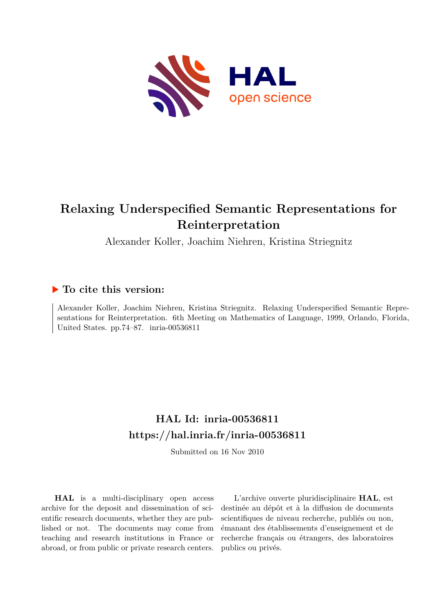

# **Relaxing Underspecified Semantic Representations for Reinterpretation**

Alexander Koller, Joachim Niehren, Kristina Striegnitz

# **To cite this version:**

Alexander Koller, Joachim Niehren, Kristina Striegnitz. Relaxing Underspecified Semantic Representations for Reinterpretation. 6th Meeting on Mathematics of Language, 1999, Orlando, Florida, United States. pp.74–87. inria-00536811

# **HAL Id: inria-00536811 <https://hal.inria.fr/inria-00536811>**

Submitted on 16 Nov 2010

**HAL** is a multi-disciplinary open access archive for the deposit and dissemination of scientific research documents, whether they are published or not. The documents may come from teaching and research institutions in France or abroad, or from public or private research centers.

L'archive ouverte pluridisciplinaire **HAL**, est destinée au dépôt et à la diffusion de documents scientifiques de niveau recherche, publiés ou non, émanant des établissements d'enseignement et de recherche français ou étrangers, des laboratoires publics ou privés.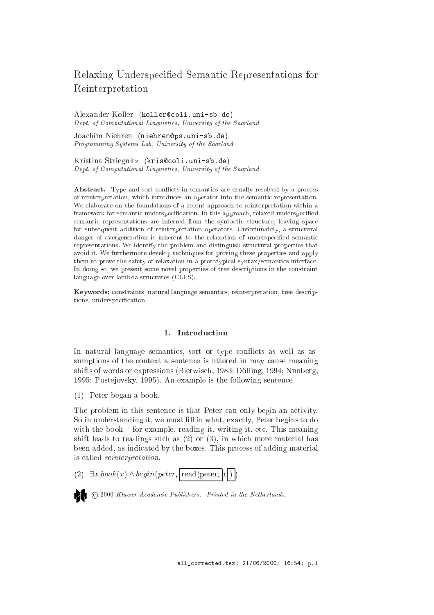# Relaxing Underspe
ied Semanti Representations for Reinterpretation

Alexander Koller (koller@coli.uni-sb.de) Dept. of Computational Linguisti
s, University of the Saarland

Joachim Niehren (niehren@ps.uni-sb.de) Programming Systems Lab, University of the Saarland

Kristina Striegnitz (kris@coli.uni-sb.de) Dept. of Computational Linguisti
s, University of the Saarland

Abstract. Type and sort conflicts in semantics are usually resolved by a process of reinterpretation, whi
h introdu
es an operator into the semanti representation. We elaborate on the foundations of a recent approach to reinterpretation within a framework for semantic underspecification. In this approach, relaxed underspecified semantic representations are inferred from the syntactic structure, leaving space for subsequent addition of reinterpretation operators. Unfortunately, a structural danger of overgeneration is inherent to the relaxation of underspecified semantic representations. We identify the problem and distinguish structural properties that avoid it. We furthermore develop te
hniques for proving these properties and apply them to prove the safety of relaxation in a prototypical syntax/semantics interface. In doing so, we present some novel properties of tree descriptions in the constraint language over lambda stru
tures (CLLS).

Keywords: onstraints, natural language semanti
s, reinterpretation, tree des
riptions, underspecification

# 1. Introduction

In natural language semantics, sort or type conflicts as well as assumptions of the context a sentence is uttered in may cause meaning shifts of words or expressions (Bierwis
h, 1983; Dolling, 1994; Nunberg, 1995; Pustejovsky, 1995). An example is the following senten
e.

(1) Peter began a book.

The problem in this sentence is that Peter can only begin an activity. So in understanding it, we must fill in what, exactly, Peter begins to do with the book  $-$  for example, reading it, writing it, etc. This meaning shift leads to readings such as  $(2)$  or  $(3)$ , in which more material has been added, as indicated by the boxes. This process of adding material is alled reinterpretation.

(2)  $\exists x. \text{book}(x) \land \text{begin}(\text{peter}, \text{read}(\text{peter}, x))$ .



<sup>2</sup> © 2000 Kluwer Academic Publishers. Printed in the Netherlands.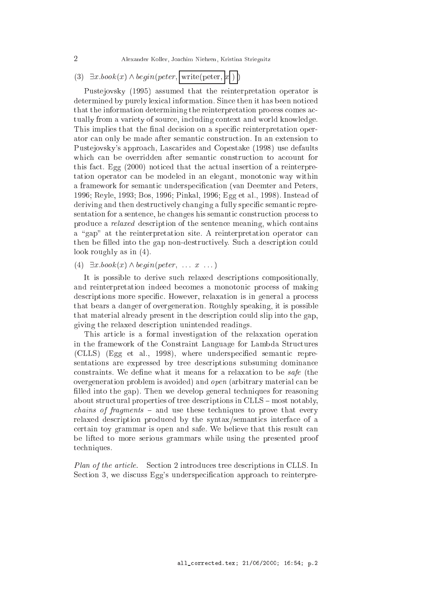2 Alexander Koller, Joa
him Niehren, Kristina Striegnitz

# (3)  $\exists x.book(x) \wedge begin(peter, | \text{write}(peter, |x|) )$

Pustejovsky (1995) assumed that the reinterpretation operator is determined by purely lexical information. Since then it has been noticed that the information determining the reinterpretation pro
ess omes a
 tually from a variety of source, including context and world knowledge. This implies that the final decision on a specific reinterpretation operator can only be made after semantic construction. In an extension to Pustejovsky's approa
h, Las
arides and Copestake (1998) use defaults which can be overridden after semantic construction to account for this fa
t. Egg (2000) noti
ed that the a
tual insertion of a reinterpretation operator can be modeled in an elegant, monotonic way within a framework for semantic underspecification (van Deemter and Peters, 1996; Reyle, 1993; Bos, 1996; Pinkal, 1996; Egg et al., 1998). Instead of deriving and then destructively changing a fully specific semantic representation for a sentence, he changes his semantic construction process to produce a *relaxed* description of the sentence meaning, which contains a "gap" at the reinterpretation site. A reinterpretation operator can then be filled into the gap non-destructively. Such a description could look roughly as in (4).

# (4)  $\exists x \cdot \text{book}(x) \land \text{begin}(\text{peter}, \dots x \dots)$

It is possible to derive such relaxed descriptions compositionally, and reinterpretation indeed becomes a monotonic process of making descriptions more specific. However, relaxation is in general a process that bears a danger of overgeneration. Roughly speaking, it is possible that material already present in the description could slip into the gap. giving the relaxed des
ription unintended readings.

This arti
le is a formal investigation of the relaxation operation in the framework of the Constraint Language for Lambda Stru
tures (CLLS) (Egg et al., 1998), where underspecified semantic representations are expressed by tree descriptions subsuming dominance constraints. We define what it means for a relaxation to be *safe* (the overgeneration problem is avoided) and open (arbitrary material an be filled into the gap). Then we develop general techniques for reasoning about structural properties of tree descriptions in CLLS – most notably,  $chains$  of fragments  $-$  and use these techniques to prove that every relaxed description produced by the syntax/semantics interface of a ertain toy grammar is open and safe. We believe that this result an be lifted to more serious grammars while using the presented proof te
hniques.

Plan of the article. Section 2 introduces tree descriptions in CLLS. In Section 3, we discuss Egg's underspecification approach to reinterpre-

 $\overline{2}$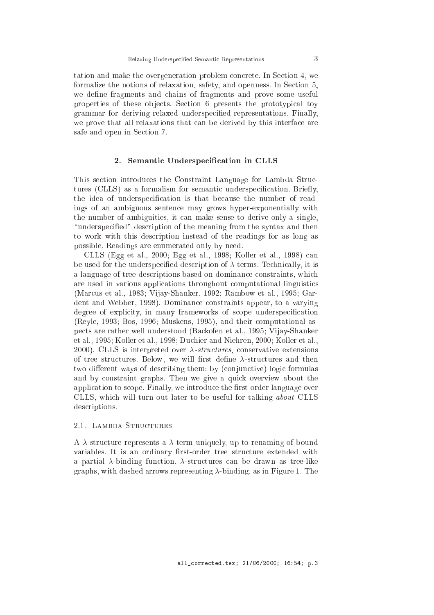tation and make the overgeneration problem concrete. In Section 4, we formalize the notions of relaxation, safety, and openness. In Section 5, we define fragments and chains of fragments and prove some useful properties of these objects. Section 6 presents the prototypical toy grammar for deriving relaxed underspecified representations. Finally, we prove that all relaxations that can be derived by this interface are safe and open in Se
tion 7.

## 2. Semantic Underspecification in CLLS

This se
tion introdu
es the Constraint Language for Lambda Stru
 tures (CLLS) as a formalism for semantic underspecification. Briefly, the idea of underspecification is that because the number of readings of an ambiguous senten
e may grows hyper-exponentially with the number of ambiguities, it an make sense to derive only a single, "underspecified" description of the meaning from the syntax and then to work with this des
ription instead of the readings for as long as possible. Readings are enumerated only by need.

CLLS (Egg et al., 2000; Egg et al., 1998; Koller et al., 1998) an be used for the underspecified description of  $\lambda$ -terms. Technically, it is a language of tree descriptions based on dominance constraints, which are used in various applications throughout computational linguistics (Mar
us et al., 1983; Vijay-Shanker, 1992; Rambow et al., 1995; Gardent and Webber, 1998). Dominan
e onstraints appear, to a varying degree of explicity, in many frameworks of scope underspecification (Reyle, 1993; Bos, 1996; Muskens, 1995), and their omputational aspe
ts are rather well understood (Ba
kofen et al., 1995; Vijay-Shanker et al., 1995; Koller et al., 1998; Du
hier and Niehren, 2000; Koller et al., 2000). CLLS is interpreted over  $\lambda$ -structures, conservative extensions of tree structures. Below, we will first define  $\lambda$ -structures and then two different ways of describing them: by (conjunctive) logic formulas and by onstraint graphs. Then we give a qui
k overview about the application to scope. Finally, we introduce the first-order language over CLLS, whi
h will turn out later to be useful for talking about CLLS des
riptions.

#### 2.1. LAMBDA STRUCTURES

A  $\lambda$ -structure represents a  $\lambda$ -term uniquely, up to renaming of bound variables. It is an ordinary first-order tree structure extended with a partial  $\lambda$ -binding function.  $\lambda$ -structures can be drawn as tree-like graphs, with dashed arrows representing  $\lambda$ -binding, as in Figure 1. The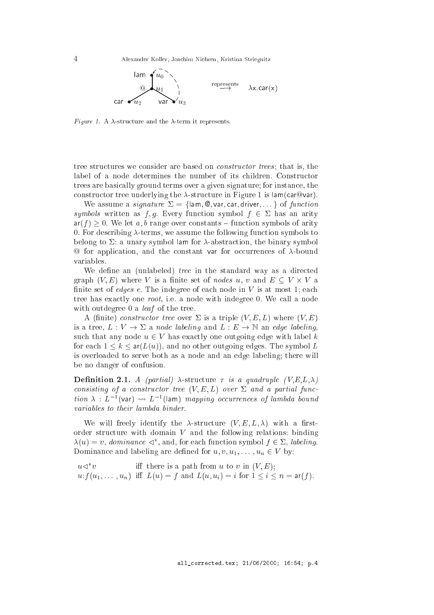4 Alexander Koller, Joa
him Niehren, Kristina Striegnitz



Figure 1. A  $\lambda$ -structure and the  $\lambda$ -term it represents.

tree structures we consider are based on *constructor trees*; that is, the label of a node determines the number of its hildren. Constru
tor trees are basi
ally ground terms over a given signature; for instan
e, the constructor tree underlying the  $\lambda$ -structure in Figure 1 is lam(car@var).

We assume a *signature*  $\Sigma = \{\text{lam}, \text{Q}, \text{var}, \text{car}, \text{driver}, \dots\}$  of function symbols written as f, g. Every function symbol  $f \in \Sigma$  has an arity  $ar(f) \geq 0$ . We let a, b range over constants – function symbols of arity 0. For describing  $\lambda$ -terms, we assume the following function symbols to belong to  $\Sigma$ : a unary symbol lam for  $\lambda$ -abstraction, the binary symbol  $\Phi$  for application, and the constant var for occurrences of  $\lambda$ -bound variables.

We define an (unlabeled) *tree* in the standard way as a directed  $\alpha$  is a contract of the set of the set of nodes use the contract of  $\alpha$  is a contract of  $\alpha$  or  $\alpha$ finite set of *edges e*. The indegree of each node in  $V$  is at most 1; each tree has exactly one *root*, i.e. a node with indegree 0. We call a node with outdegree 0 a *leaf* of the tree.

A (finite) constructor tree over  $\Sigma$  is a triple  $(V, E, L)$  where  $(V, E)$ is a tree,  $L : V \to \Sigma$  a node labeling and  $L : E \to \mathbb{N}$  an edge labeling, such that any node  $u \in V$  has exactly one outgoing edge with label k for each  $1 \leq k \leq \text{ar}(L(u))$ , and no other outgoing edges. The symbol L is overloaded to serve both as a node and an edge labeling; there will be no danger of onfusion.

**Definition 2.1.** A (partial)  $\lambda$ -structure  $\tau$  is a quadruple  $(V,E,L,\lambda)$ consisting of a constructor tree  $(V, E, L)$  over  $\Sigma$  and a partial func $u_0$   $\lambda$  :  $L$  (var)  $\leadsto$   $L$  (fam) mapping occurrences of lambda bound variables to their lambda binder.

We will freely identify the  $\lambda$ -structure  $(V, E, L, \lambda)$  with a firstorder structure with domain  $V$  and the following relations: binding  $\lambda(u) \equiv v,$  dominance  $\leq$ , and, for each function symbol  $f \in \mathbb{Z}$ , labeling. Dominance and labeling are defined for  $u, v, u_1, \ldots, u_n \in V$  by:

 $u \triangleleft^* v$ iff there is a path from u to v in  $(V, E)$ ;  $u: f(u_1,\ldots, u_n)$  iff  $L(u) = f$  and  $L(u, u_i) = i$  for  $1 \leq i \leq n = \text{ar}(f)$ .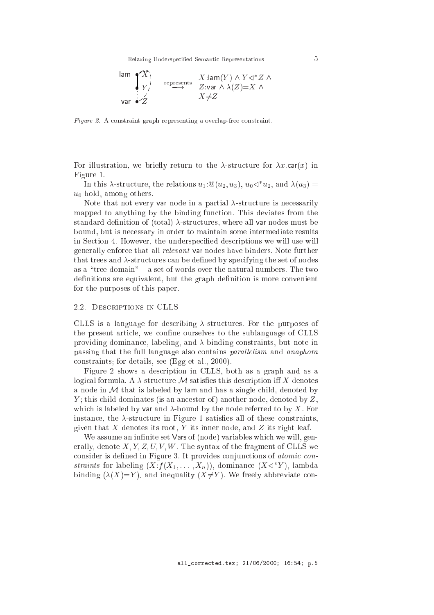Relaxing Underspecified Semantic Representations 5



Figure 2. A constraint graph representing a overlap-free constraint.

For illustration, we briefly return to the  $\lambda$ -structure for  $\lambda x$ .car(x) in Figure 1.

In this  $\lambda$ -structure, the relations  $u_1$ :  $\mathcal{Q}(u_2, u_3)$ ,  $u_0 \triangleleft u_2$ , and  $\lambda(u_3)$  =  $u_0$  hold, among others.

Note that not every var node in a partial  $\lambda$ -structure is necessarily mapped to anything by the binding function. This deviates from the standard definition of (total)  $\lambda$ -structures, where all var nodes must be bound, but is ne
essary in order to maintain some intermediate results in Section 4. However, the underspecified descriptions we will use will generally enfor
e that all relevant var nodes have binders. Note further that trees and  $\lambda$ -structures can be defined by specifying the set of nodes as a "tree domain"  $-$  a set of words over the natural numbers. The two definitions are equivalent, but the graph definition is more convenient for the purposes of this paper.

### 2.2. DESCRIPTIONS IN CLLS

CLLS is a language for describing  $\lambda$ -structures. For the purposes of the present article, we confine ourselves to the sublanguage of CLLS providing dominance, labeling, and  $\lambda$ -binding constraints, but note in passing that the full language also contains *parallelism* and *anaphora* onstraints; for details, see (Egg et al., 2000).

Figure 2 shows a des
ription in CLLS, both as a graph and as a logical formula. A  $\lambda$ -structure M satisfies this description iff X denotes a node in  $M$  that is labeled by lam and has a single child, denoted by Y ; this hild dominates (is an an
estor of ) another node, denoted by Z, which is labeled by var and  $\lambda$ -bound by the node referred to by X. For instance, the  $\lambda$ -structure in Figure 1 satisfies all of these constraints, given that  $X$  denotes its root,  $Y$  its inner node, and  $Z$  its right leaf.

We assume an infinite set Vars of (node) variables which we will, generally, denote  $X, Y, Z, U, V, W$ . The syntax of the fragment of CLLS we consider is defined in Figure 3. It provides conjunctions of *atomic con*stramts for labelling  $(X: j \mid X_1, \ldots, X_n)$ ), dominance  $(X \leq Y)$ , lambda binding  $(\lambda(X)=Y)$ , and inequality  $(X\neq Y)$ . We freely abbreviate con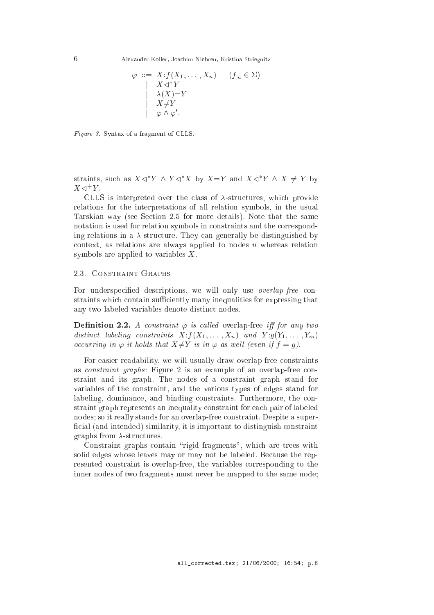Alexander Koller, Joachim Niehren, Kristina Striegnitz

$$
\varphi ::= X : f(X_1, \dots, X_n) \quad (f_{|n} \in \Sigma)
$$
  
\n
$$
\begin{array}{ccc}\n& X \triangleleft^* Y \\
& \lambda(X) = Y \\
& X \neq Y \\
& \varphi \wedge \varphi'.\n\end{array}
$$

Figure 3. Syntax of a fragment of CLLS.

straints, such as  $A \leq Y \land Y \leq A$  by  $A \equiv Y$  and  $A \leq Y \land A \neq Y$  by  $\Lambda \triangleleft '$   $I$  .

CLLS is interpreted over the class of  $\lambda$ -structures, which provide relations for the interpretations of all relation symbols, in the usual Tarskian way (see Se
tion 2.5 for more details). Note that the same notation is used for relation symbols in constraints and the corresponding relations in a  $\lambda$ -structure. They can generally be distinguished by context, as relations are always applied to nodes  $u$  whereas relation symbols are applied to variables X.

### 2.3. Constraint Graphs

For underspecified descriptions, we will only use *overlap-free* constraints which contain sufficiently many inequalities for expressing that any two labeled variables denote distin
t nodes.

**Definition 2.2.** A constraint  $\varphi$  is called overlap-free iff for any two distinct labeling constraints  $X: f(X_1, \ldots, X_n)$  and  $Y: g(Y_1, \ldots, Y_m)$ occurring in  $\varphi$  it holds that  $X \neq Y$  is in  $\varphi$  as well (even if  $f = q$ ).

For easier readability, we will usually draw overlap-free onstraints as *constraint graphs*: Figure 2 is an example of an overlap-free constraint and its graph. The nodes of a constraint graph stand for variables of the onstraint, and the various types of edges stand for labeling, dominance, and binding constraints. Furthermore, the constraint graph represents an inequality onstraint for ea
h pair of labeled nodes; so it really stands for an overlap-free constraint. Despite a superficial (and intended) similarity, it is important to distinguish constraint graphs from  $\lambda$ -structures.

Constraint graphs contain "rigid fragments", which are trees with solid edges whose leaves may or may not be labeled. Because the represented onstraint is overlap-free, the variables orresponding to the inner nodes of two fragments must never be mapped to the same node;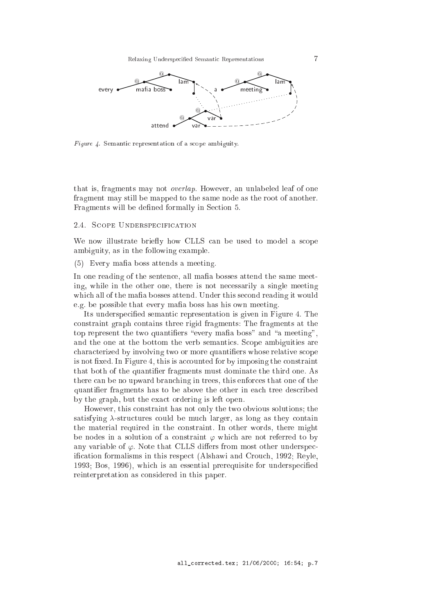

Figure 4. Semantic representation of a scope ambiguity.

that is, fragments may not overlap. However, an unlabeled leaf of one fragment may still be mapped to the same node as the root of another. Fragments will be defined formally in Section 5.

#### 2.4. SCOPE UNDERSPECIFICATION

We now illustrate briefly how CLLS can be used to model a scope ambiguity, as in the following example.

(5) Every mafia boss attends a meeting.

In one reading of the sentence, all mafia bosses attend the same meeting, while in the other one, there is not necessarily a single meeting which all of the mafia bosses attend. Under this second reading it would e.g. be possible that every mafia boss has his own meeting.

Its underspecified semantic representation is given in Figure 4. The onstraint graph ontains three rigid fragments: The fragments at the top represent the two quantifiers "every mafia boss" and "a meeting". and the one at the bottom the verb semanti
s. S
ope ambiguities are hara
terized by involving two or more quantiers whose relative s
ope is not fixed. In Figure 4, this is accounted for by imposing the constraint that both of the quantier fragments must dominate the third one. As there an be no upward bran
hing in trees, this enfor
es that one of the quantifier fragments has to be above the other in each tree described by the graph, but the exa
t ordering is left open.

However, this onstraint has not only the two obvious solutions; the satisfying  $\lambda$ -structures could be much larger, as long as they contain the material required in the onstraint. In other words, there might be nodes in a solution of a constraint  $\varphi$  which are not referred to by any variable of  $\varphi$ . Note that CLLS differs from most other underspecification formalisms in this respect (Alshawi and Crouch, 1992; Reyle, 1993; Bos, 1996), which is an essential prerequisite for underspecified reinterpretation as onsidered in this paper.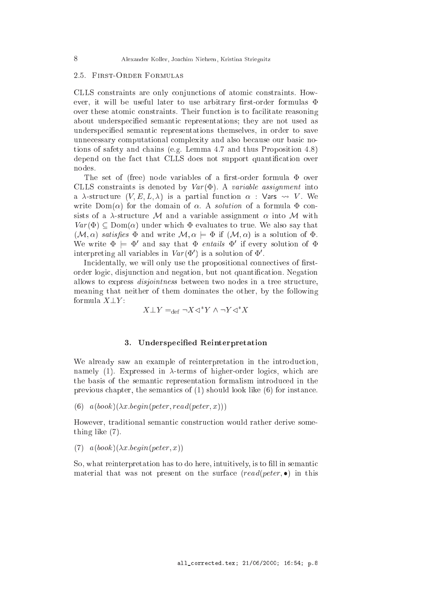#### 2.5. First-Order Formulas

CLLS constraints are only conjunctions of atomic constraints. However, it will be useful later to use arbitrary first-order formulas  $\Phi$ over these atomic constraints. Their function is to facilitate reasoning about underspecified semantic representations; they are not used as underspecified semantic representations themselves, in order to save unnecessary computational complexity and also because our basic notions of safety and hains (e.g. Lemma 4.7 and thus Proposition 4.8) depend on the fact that CLLS does not support quantification over

The set of (free) node variables of a first-order formula  $\Phi$  over CLLS constraints is denoted by  $Var(\Phi)$ . A variable assignment into a  $\lambda$ -structure  $(V, E, L, \lambda)$  is a partial function  $\alpha$ : Vars  $\leadsto V$ . We write  $Dom(\alpha)$  for the domain of  $\alpha$ . A *solution* of a formula  $\Phi$  consists of a  $\lambda$ -structure M and a variable assignment  $\alpha$  into M with  $Var(\Phi) \subset \text{Dom}(\alpha)$  under which  $\Phi$  evaluates to true. We also say that  $(M, \alpha)$  satisfies  $\Phi$  and write  $M, \alpha \models \Phi$  if  $(M, \alpha)$  is a solution of  $\Phi$ . we write  $\Psi \models \Psi$  and say that  $\Psi$  entails  $\Psi$  if every solution of  $\Psi$ interpreting all variables in  $var(\Psi)$  is a solution of  $\Psi$ .

Incidentally, we will only use the propositional connectives of firstorder logi
, disjun
tion and negation, but not quanti
ation. Negation allows to express *disjointness* between two nodes in a tree structure, meaning that neither of them dominates the other, by the following formula  $X \perp Y$ :

$$
X \bot Y =_{\text{def}} \neg X \triangleleft^* Y \land \neg Y \triangleleft^* X
$$

## 3. Underspecified Reinterpretation

We already saw an example of reinterpretation in the introduction, namely (1). Expressed in  $\lambda$ -terms of higher-order logics, which are the basis of the semantic representation formalism introduced in the previous hapter, the semanti
s of (1) should look like (6) for instan
e.

(6)  $a(book)(\lambda x.begin(peter, read(peter, x)))$ 

However, traditional semantic construction would rather derive something like (7).

(7)  $a(book)(\lambda x.begin(peter, x))$ 

So, what reinterpretation has to do here, intuitively, is to fill in semantic material that was not present on the surface  $read(peter, \bullet)$  in this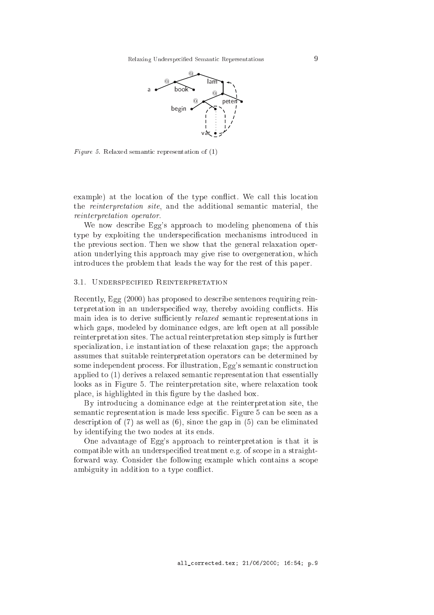

Figure 5. Relaxed semantic representation of  $(1)$ 

example) at the location of the type conflict. We call this location the reinterpretation site, and the additional semanti material, the reinterpretation operator.

We now describe Egg's approach to modeling phenomena of this type by exploiting the underspecification mechanisms introduced in the previous se
tion. Then we show that the general relaxation operation underlying this approa
h may give rise to overgeneration, whi
h introdu
es the problem that leads the way for the rest of this paper.

#### 3.1. UNDERSPECIFIED REINTERPRETATION

Recently, Egg (2000) has proposed to describe sentences requiring reinterpretation in an underspecified way, thereby avoiding conflicts. His main idea is to derive sufficiently *relaxed* semantic representations in whi
h gaps, modeled by dominan
e edges, are left open at all possible reinterpretation sites. The actual reinterpretation step simply is further specialization, i.e instantiation of these relaxation gaps; the approach assumes that suitable reinterpretation operators an be determined by some independent process. For illustration, Egg's semantic construction applied to  $(1)$  derives a relaxed semantic representation that essentially looks as in Figure 5. The reinterpretation site, where relaxation took pla
e, is highlighted in this gure by the dashed box.

By introdu
ing a dominan
e edge at the reinterpretation site, the semantic representation is made less specific. Figure 5 can be seen as a description of  $(7)$  as well as  $(6)$ , since the gap in  $(5)$  can be eliminated by identifying the two nodes at its ends.

One advantage of Egg's approa
h to reinterpretation is that it is compatible with an underspecified treatment e.g. of scope in a straightforward way. Consider the following example which contains a scope ambiguity in addition to a type conflict.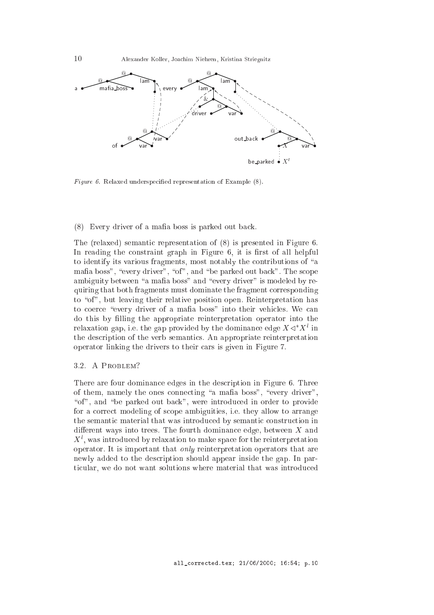10 Alexander Koller, Joa
him Niehren, Kristina Striegnitz



Figure 6. Relaxed underspecified representation of Example (8).

#### (8) Every driver of a mafia boss is parked out back.

The (relaxed) semantic representation of (8) is presented in Figure 6. In reading the constraint graph in Figure  $6$ , it is first of all helpful to identify its various fragments, most notably the contributions of "a mafia boss", "every driver", "of", and "be parked out back". The scope ambiguity between "a mafia boss" and "every driver" is modeled by requiring that both fragments must dominate the fragment orresponding to "of", but leaving their relative position open. Reinterpretation has to coerce "every driver of a mafia boss" into their vehicles. We can do this by filling the appropriate reinterpretation operator into the relaxation gap, i.e. the gap provided by the dominance edge  $X \triangleleft X^+$  in the des
ription of the verb semanti
s. An appropriate reinterpretation operator linking the drivers to their ars is given in Figure 7.

### 3.2. A Problem?

There are four dominance edges in the description in Figure 6. Three of them, namely the ones connecting "a mafia boss", "every driver", "of", and "be parked out back", were introduced in order to provide for a orre
t modeling of s
ope ambiguities, i.e. they allow to arrange the semantic material that was introduced by semantic construction in different ways into trees. The fourth dominance edge, between  $X$  and  $\Lambda$ ), was introduced by relaxation to make space for the reinterpretation operator. It is important that only reinterpretation operators that are newly added to the description should appear inside the gap. In particular, we do not want solutions where material that was introduced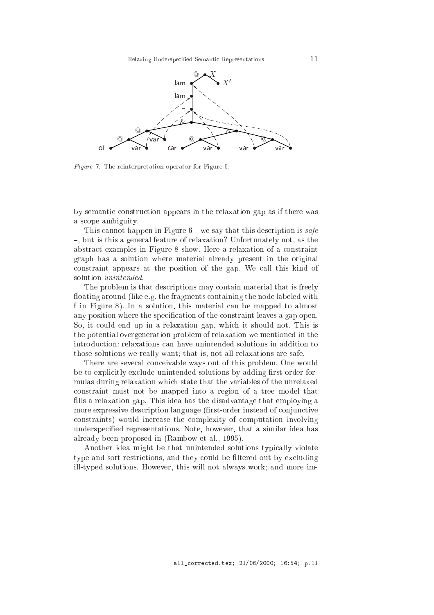

Figure 7. The reinterpretation operator for Figure 6.

by semantic construction appears in the relaxation gap as if there was a s
ope ambiguity.

This cannot happen in Figure  $6$  – we say that this description is safe -, but is this a general feature of relaxation? Unfortunately not, as the abstra
t examples in Figure 8 show. Here a relaxation of a onstraint graph has a solution where material already present in the original onstraint appears at the position of the gap. We all this kind of solution unintended.

The problem is that descriptions may contain material that is freely floating around (like e.g. the fragments containing the node labeled with f in Figure 8). In a solution, this material an be mapped to almost any position where the specification of the constraint leaves a gap open. So, it could end up in a relaxation gap, which it should not. This is the potential overgeneration problem of relaxation we mentioned in the introdu
tion: relaxations an have unintended solutions in addition to those solutions we really want; that is, not all relaxations are safe.

There are several conceivable ways out of this problem. One would be to explicitly exclude unintended solutions by adding first-order formulas during relaxation whi
h state that the variables of the unrelaxed onstraint must not be mapped into a region of a tree model that fills a relaxation gap. This idea has the disadvantage that employing a more expressive description language (first-order instead of conjunctive onstraints) would in
rease the omplexity of omputation involving underspecified representations. Note, however, that a similar idea has already been proposed in (Rambow et al., 1995).

Another idea might be that unintended solutions typically violate type and sort restrictions, and they could be filtered out by excluding ill-typed solutions. However, this will not always work; and more im-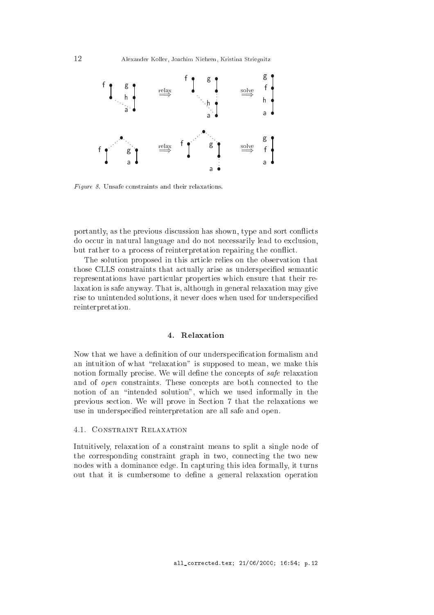

Figure 8. Unsafe constraints and their relaxations.

portantly, as the previous discussion has shown, type and sort conflicts do occur in natural language and do not necessarily lead to exclusion, but rather to a process of reinterpretation repairing the conflict.

The solution proposed in this arti
le relies on the observation that those CLLS constraints that actually arise as underspecified semantic representations have particular properties which ensure that their relaxation is safe anyway. That is, although in general relaxation may give rise to unintended solutions, it never does when used for underspecified reinterpretation.

Now that we have a definition of our underspecification formalism and an intuition of what "relaxation" is supposed to mean, we make this notion formally precise. We will define the concepts of *safe* relaxation and of *open* constraints. These concepts are both connected to the notion of an "intended solution", which we used informally in the previous se
tion. We will prove in Se
tion 7 that the relaxations we use in underspecified reinterpretation are all safe and open.

# 4.1. CONSTRAINT RELAXATION

Intuitively, relaxation of a constraint means to split a single node of the orresponding onstraint graph in two, onne
ting the two new nodes with a dominance edge. In capturing this idea formally, it turns out that it is umbersome to dene a general relaxation operation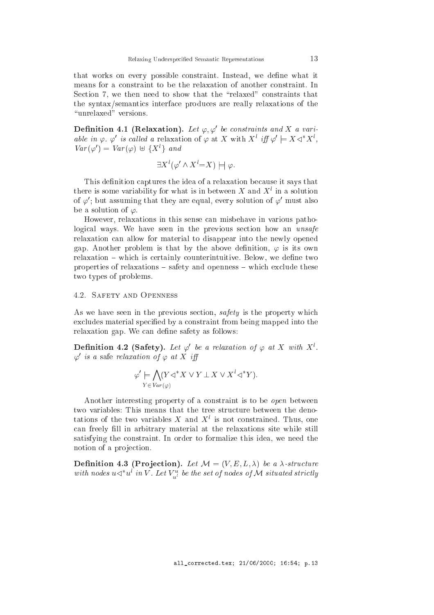that works on every possible constraint. Instead, we define what it means for a onstraint to be the relaxation of another onstraint. In Section 7, we then need to show that the "relaxed" constraints that the syntax/semanti
s interfa
e produ
es are really relaxations of the "unrelaxed" versions.

**Definition 4.1 (Relaxation).** Let  $\varphi, \varphi$  be constraints and  $\Lambda$  a variable in  $\varphi$ ,  $\varphi$  is called a relaxation of  $\varphi$  at X with  $X^*$  iff  $\varphi \models X \triangleleft X^*$ ,  $Var(\varphi) = Var(\varphi) \oplus {\{\Lambda^c\}}$  and

$$
\exists X^{l}(\varphi' \land X^{l}=X) \models \varphi.
$$

This definition captures the idea of a relaxation because it says that there is some variability for what is in between  $\Lambda$  and  $\Lambda$  in a solution of  $\varphi$  ; but assuming that they are equal, every solution of  $\varphi$  must also be a solution of  $\varphi$ .

However, relaxations in this sense can misbehave in various pathological ways. We have seen in the previous section how an *unsafe* relaxation an allow for material to disappear into the newly opened gap. Another problem is that by the above definition,  $\varphi$  is its own relaxation – which is certainly counterintuitive. Below, we define two properties of relaxations  $-$  safety and openness  $-$  which exclude these two types of problems.

As we have seen in the previous section, *safety* is the property which excludes material specified by a constraint from being mapped into the relaxation gap. We can define safety as follows:

**Definition 4.2 (Safety).** Let  $\varphi$  be a relaxation of  $\varphi$  at X with X<sup>o</sup>.  $\varphi$  is a safe relaxation of  $\varphi$  at  $\Lambda$  iff

$$
\varphi' \models \bigwedge_{Y \in \text{Var}(\varphi)} (Y \triangleleft^* X \lor Y \perp X \lor X^l \triangleleft^* Y).
$$

Another interesting property of a constraint is to be *open* between two variables: This means that the tree structure between the denotations of the two variables  $\Lambda$  and  $\Lambda$  is not constrained. Thus, one can freely fill in arbitrary material at the relaxations site while still satisfying the onstraint. In order to formalize this idea, we need the notion of a projection.

Definition 4.3 (Projection). Let  $\mathcal{M} = (V, E, L, \lambda)$  be a  $\lambda$ -structure with nodes  $u \triangleleft u^*$  in  $v$  . Let  $v_{\vec{u^u}}$  be the set of nodes of N situated strictly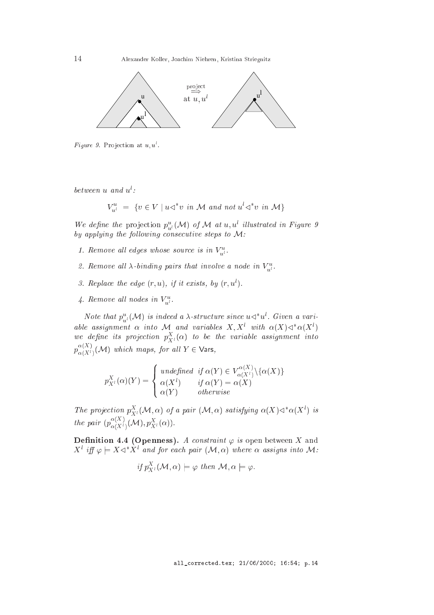

 $Figure 9.$  Projection at  $u, u$ .

between <sup>u</sup> and <sup>u</sup><sup>l</sup> :

$$
V_{u^l}^u = \{ v \in V \mid u \triangleleft^* v \text{ in } \mathcal{M} \text{ and not } u^l \triangleleft^* v \text{ in } \mathcal{M} \}
$$

We aefine the projection  $p_{u^l}^{\dagger}(\mathcal{M})$  of M at u, u ulustrated in Figure 9 by applying the following consecutive steps to  $M$ :

- 1. Remove an eages whose source is in  $V_{\vec{u}}$ .
- z. Kemove an  $\lambda$ -binding pairs that involve a node in  $\mathsf{v}_{u^{l}}.$
- $\sigma$ . Replace the eage  $(r, u)$ , if it exists, by  $(r, u)$ .
- 4. Kemove all nodes in  $\overline{v_{u^l}}$ .

Note that  $p_{u^l}(\mathcal{M})$  is indeed a *x*-structure since  $u \triangleleft u$ . Given a variable assignment  $\alpha$  into  $\mathcal{N}$  and variables  $\Lambda, \Lambda$  with  $\alpha(\Lambda) \triangleleft \alpha(\Lambda)$ we aefine its projection  $p_{X^l}^-(\alpha)$  to be the variable assignment into  $p_{\alpha(X^i)}(\mathcal{M})$  which maps, for all  $Y\in\mathsf{Vars},$ 

$$
p_{X^l}^X(\alpha)(Y) = \begin{cases} \text{undefined} & \text{if } \alpha(Y) \in V_{\alpha(X^l)}^{\alpha(X)} \setminus \{\alpha(X)\} \\ \alpha(X^l) & \text{if } \alpha(Y) = \alpha(X) \\ \alpha(Y) & \text{otherwise} \end{cases}
$$

The projection  $p_{X^l}^-(\mathcal{M}, \alpha)$  of a pair  $(\mathcal{M}, \alpha)$  satisfying  $\alpha(\Lambda) \triangleleft \alpha(\Lambda^+)$  is the pair  $(p_{\alpha(X^l)}^{\alpha(X^l)}(\mathcal{M}), p_{X^l}^{\alpha}(\alpha)).$ 

**Definition 4.4 (Openness).** A constraint  $\varphi$  is open between X and  $X^*$  iff  $\varphi \models X \triangleleft X^*$  and for each pair  $(\mathcal{M}, \alpha)$  where  $\alpha$  assigns into  $\mathcal{M}$ :

if 
$$
p_{X}^X(\mathcal{M}, \alpha) \models \varphi
$$
 then  $\mathcal{M}, \alpha \models \varphi$ .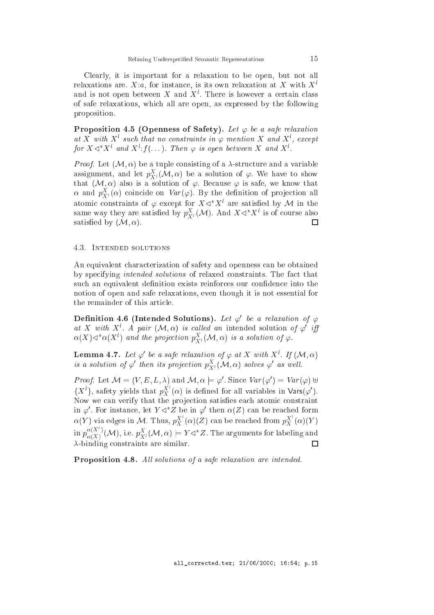Clearly, it is important for a relaxation to be open, but not all relaxations are. X:a, for instance, is its own relaxation at X with  $X<sup>l</sup>$ and is not open between  $\Lambda$  and  $\Lambda$ . There is nowever a certain class of safe relaxations, whi
h all are open, as expressed by the following proposition.

Proposition 4.5 (Openness of Safety). Let  $\varphi$  be a safe relaxation at X with X' such that no constraints in  $\varphi$  mention X and X', except for  $X \triangleleft \cap X^{\circ}$  and  $X^{\circ}:$   $f(\dots)$ . Then  $\varphi$  is open between  $X$  and  $X^{\circ}.$ 

*Proof.* Let  $(M, \alpha)$  be a tuple consisting of a  $\lambda$ -structure and a variable assignment, and let  $p_{\mathcal{X}^l}^{\sim}(\mathcal{M}, \alpha)$  be a solution of  $\varphi$ . We have to show that  $(M, \alpha)$  also is a solution of  $\varphi$ . Because  $\varphi$  is safe, we know that  $\alpha$  and  $p_{{X^l}}^-(\alpha)$  coincide on  $\mathit{var}(\varphi)$ . By the definition of projection all atomic constraints of  $\varphi$  except for  $X \triangleleft X^*$  are satisfied by  ${\mathcal M}$  in the same way they are satisfied by  $p_{X^l}(\mathcal{M})$ . And  $X \triangleleft X$  is of course also satisfied by  $(\mathcal{M}, \alpha)$ .  $\Box$ 

#### 4.3. Intended solutions

An equivalent characterization of safety and openness can be obtained by specifying *intended solutions* of relaxed constraints. The fact that such an equivalent definition exists reinforces our confidence into the notion of open and safe relaxations, even though it is not essential for the remainder of this arti
le.

**Definition 4.6 (Intended Solutions).** Let  $\varphi$  be a relaxation of  $\varphi$ at  $\Lambda$  with  $\Lambda^*$ . A pair  $(\mathcal{M}, \alpha)$  is called an intended solution of  $\varphi$  iff  $\alpha(X) \lhd \lnot \alpha(X^*)$  and the projection  $p_{X^l}^{\alpha}(\mathcal{M}, \alpha)$  is a solution of  $\varphi.$ 

**Lemma 4.7.** Let  $\varphi$  be a safe relaxation of  $\varphi$  at X with X<sup>or</sup>. If  $(\mathcal{M}, \alpha)$ is a solution of  $\varphi$  then its projection  $p_{X^l}^{\alpha}(\mathcal{M}, \alpha)$  solves  $\varphi$  as well.

*Proof.* Let  $\mathcal{M} = (V, E, L, \lambda)$  and  $\mathcal{M}, \alpha \models \varphi$ . Since  $Var(\varphi) = Var(\varphi) \oplus$  $\{X^i\}$ , safety yields that  $p_X^{\Lambda}(\alpha)$  is defined for all variables in Vars( $\varphi'$ ). Now we can verify that the projection satisfies each atomic constraint in  $\varphi$ . For instance, let  $Y \triangleleft Z$  be in  $\varphi'$  then  $\alpha(Z)$  can be reached form  $\alpha(Y)$  via edges in M. Thus,  $p_X^{\Lambda}(\alpha)(Z)$  can be reached from  $p_X^{\Lambda}(\alpha)(Y)$ in  $p^{\alpha(X)}$  $\alpha(X)$  (M), i.e.  $p_{X^l}^-(\mathcal{M}, \alpha) \models I \triangleleft Z$ . The arguments for labeling and  $\lambda$ -binding constraints are similar.  $\Box$ 

Proposition 4.8. All solutions of a safe relaxation are intended.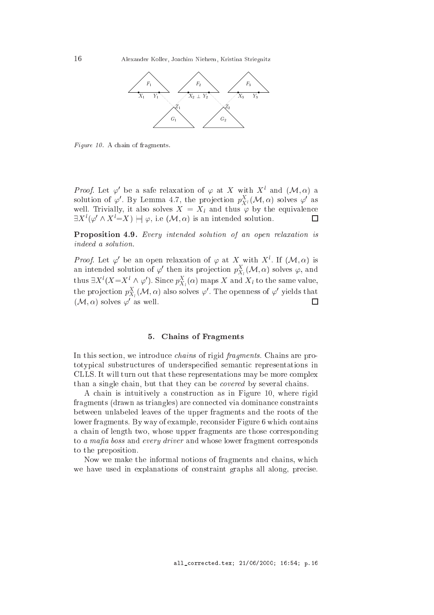

Figure 10. A chain of fragments.

*Proof.* Let  $\varphi$  be a safe relaxation of  $\varphi$  at  $\Lambda$  with  $\Lambda$  and  $(\mathcal{M}, \alpha)$  a solution of  $\varphi$ . By Lemma 4.7, the projection  $p_{\mathcal{X}^l}^*(\mathcal{M}, \alpha)$  solves  $\varphi$  as well. Irivially, it also solves  $X = X_l$  and thus  $\varphi$  by the equivalence  $\Box$  $\exists X \, (\varphi \land X \cong X) \models \varphi$ , i.e  $(\mathcal{M}, \alpha)$  is an intended solution.

Proposition 4.9. Every intended solution of an open relaxation is indeed a solution.

*Proof.* Let  $\varphi$  be an open relaxation of  $\varphi$  at X with X. If  $(\mathcal{M}, \alpha)$  is an intended solution of  $\varphi$  then its projection  $p_{X_l}^*(\mathcal{M}, \alpha)$  solves  $\varphi,$  and thus  $\exists X^{\dagger} (X = X^{\dagger} \wedge \varphi^{\dagger})$ . Since  $p_{X_l}^{\dagger} (\alpha)$  maps  $X$  and  $X_l$  to the same value, the projection  $p_{X_i}^{\perp}(\mathcal{M}, \alpha)$  also solves  $\varphi$  . The openness of  $\varphi$  yields that  $\cdot$  $\Box$  $(\mathcal{M}, \alpha)$  solves  $\varphi$  as well.

#### 5. Chains of Fragments  $5<sub>1</sub>$

In this section, we introduce *chains* of rigid *fragments*. Chains are prototypical substructures of underspecified semantic representations in CLLS. It will turn out that these representations may be more complex than a single chain, but that they can be *covered* by several chains.

A chain is intuitively a construction as in Figure 10, where rigid fragments (drawn as triangles) are connected via dominance constraints between unlabeled leaves of the upper fragments and the roots of the lower fragments. By way of example, reconsider Figure 6 which contains a hain of length two, whose upper fragments are those orresponding to a mafia boss and every driver and whose lower fragment corresponds to the preposition.

Now we make the informal notions of fragments and hains, whi
h we have used in explanations of constraint graphs all along, precise.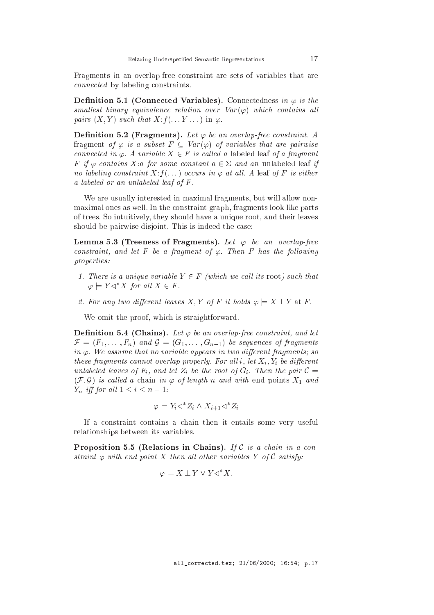Fragments in an overlap-free onstraint are sets of variables that are onne
ted by labeling onstraints.

Definition 5.1 (Connected Variables). Connectedness in  $\varphi$  is the smallest binary equivalence relation over  $Var(\varphi)$  which contains all pairs  $(X, Y)$  such that  $X: f(\ldots Y \ldots)$  in  $\varphi$ .

**Definition 5.2 (Fragments).** Let  $\varphi$  be an overlap-free constraint. A fragment of  $\varphi$  is a subset  $F \subseteq Var(\varphi)$  of variables that are pairwise connected in  $\varphi$ . A variable  $X \in F$  is called a labeled leaf of a fragment F if  $\varphi$  contains X:a for some constant  $a \in \Sigma$  and an unlabeled leaf if no labeling constraint  $X: f(\ldots)$  occurs in  $\varphi$  at all. A leaf of F is either a labeled or an unlabeled leaf of <sup>F</sup> .

We are usually interested in maximal fragments, but will allow nonmaximal ones as well. In the onstraint graph, fragments look like parts of trees. So intuitively, they should have a unique root, and their leaves should be pairwise disjoint. This is indeed the ase:

**Lemma 5.3 (Treeness of Fragments).** Let  $\varphi$  be an overlap-free constraint, and let F be a fragment of  $\varphi$ . Then F has the following properties:

- 1. There is a unique variable  $Y \in F$  (which we call its root) such that  $\varphi \models Y \triangleleft^* X$  for all  $X \in F$ .
- 2. For any two different leaves X, Y of F it holds  $\varphi \models X \bot Y$  at F.

We omit the proof, which is straightforward.

**Definition 5.4 (Chains).** Let  $\varphi$  be an overlap-free constraint, and let F = (F1; : : : ; Fn) and <sup>G</sup> = (G1; : : : ; Gn1) be sequen
es of fragments in  $\varphi$ . We assume that no variable appears in two different fragments; so these fragments annot al lap properly. For all limit  $\alpha$  is all let  $\alpha$  if  $\alpha$  in all lapses under the leaves of  $I$  is an order the root of  $I$  . Then the pair  $\mathcal{C}$  is an order the pair  $\mathcal{C}$  $(\mathcal{F}, \mathcal{G})$  is called a chain in  $\varphi$  of length n and with end points  $X_1$  and  $\overline{\phantom{a}}$  in all  $\overline{\phantom{a}}$  if  $\overline{\phantom{a}}$  if  $\overline{\phantom{a}}$  if  $\overline{\phantom{a}}$  if  $\overline{\phantom{a}}$  if  $\overline{\phantom{a}}$  if  $\overline{\phantom{a}}$  if  $\overline{\phantom{a}}$  if  $\overline{\phantom{a}}$  if  $\overline{\phantom{a}}$  if  $\overline{\phantom{a}}$  if  $\overline{\phantom{a}}$  if  $\overline{\phantom{a}}$  if  $\overline{\phantom$ 

$$
\varphi \models Y_i \lhd^* Z_i \land X_{i+1} \lhd^* Z_i
$$

If a onstraint ontains a hain then it entails some very useful relationships between its variables.

Proposition 5.5 (Relations in Chains). If  $\mathcal C$  is a chain in a constraint  $\varphi$  with end point X then all other variables Y of C satisfy:

$$
\varphi \models X \perp Y \lor Y \lhd^* X.
$$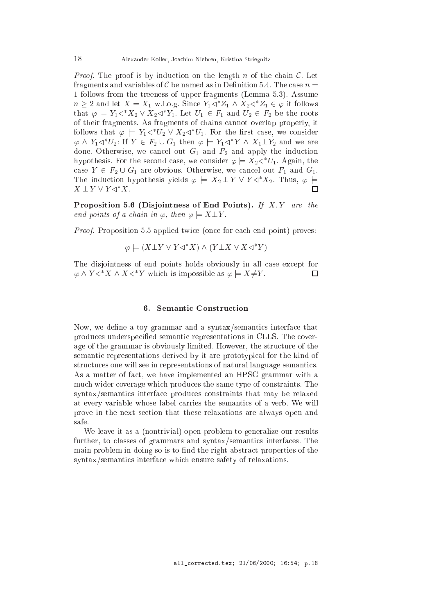*Proof.* The proof is by induction on the length  $n$  of the chain  $\mathcal{C}$ . Let fragments and variables of C be named as in Definition 5.4. The case  $n =$ 1 follows from the treeness of upper fragments (Lemma 5.3). Assume  $n \geq 2$  and let  $\Lambda = \Lambda_1$  w.l.o.g. Since  $Y_1 \triangleleft Z_1 \wedge X_2 \triangleleft Z_1 \in \varphi$  it follows that  $\varphi \models Y_1 \triangleleft X_2 \vee X_2 \triangleleft Y_1$ . Let  $U_1 \in F_1$  and  $U_2 \in F_2$  be the roots of their fragments. As fragments of hains annot overlap properly, it follows that  $\varphi \models Y_1 \triangleleft U_2 \vee X_2 \triangleleft U_1$ . For the first case, we consider  $\varphi \wedge Y_1 \triangleleft V_2$ : If  $Y \in F_2 \cup G_1$  then  $\varphi \models Y_1 \triangleleft Y \wedge X_1 \bot Y_2$  and we are done. Otherwise, we cancel out  $G_1$  and  $F_2$  and apply the induction hypothesis. For the second case, we consider  $\varphi \models \Lambda_2 \lhd U_1$ . Again, the case  $Y \in F_2 \cup G_1$  are obvious. Otherwise, we cancel out  $F_1$  and  $G_1$ . The induction hypothesis yields  $\varphi \models X_2 \perp Y \lor Y \lhd^* X_2$ . Thus,  $\varphi \models$  $\Box$  $\Lambda \perp I \vee I \triangleleft \Lambda.$ 

Proposition 5.6 (Disjointness of End Points). If  $X, Y$  are the end points of a chain in  $\varphi$ , then  $\varphi \models X \bot Y$ .

Proof. Proposition 5.5 applied twice (once for each end point) proves:

$$
\varphi \models (X \bot Y \lor Y \lhd^* X) \land (Y \bot X \lor X \lhd^* Y)
$$

The disjointness of end points holds obviously in all case except for  $\Box$  $\varphi \wedge Y \triangleleft X \wedge X \triangleleft Y$  which is impossible as  $\varphi \models X \neq Y$ .

#### 6. Semanti Constru
tion

Now, we define a toy grammar and a syntax/semantics interface that produces underspecified semantic representations in CLLS. The coverage of the grammar is obviously limited. However, the structure of the semantic representations derived by it are prototypical for the kind of structures one will see in representations of natural language semantics. As a matter of fa
t, we have implemented an HPSG grammar with a mu
h wider overage whi
h produ
es the same type of onstraints. The syntax/semanti
s interfa
e produ
es onstraints that may be relaxed at every variable whose label arries the semanti
s of a verb. We will prove in the next se
tion that these relaxations are always open and safe.

We leave it as a (nontrivial) open problem to generalize our results further, to classes of grammars and syntax/semantics interfaces. The main problem in doing so is to find the right abstract properties of the syntax/semanti
s interfa
e whi
h ensure safety of relaxations.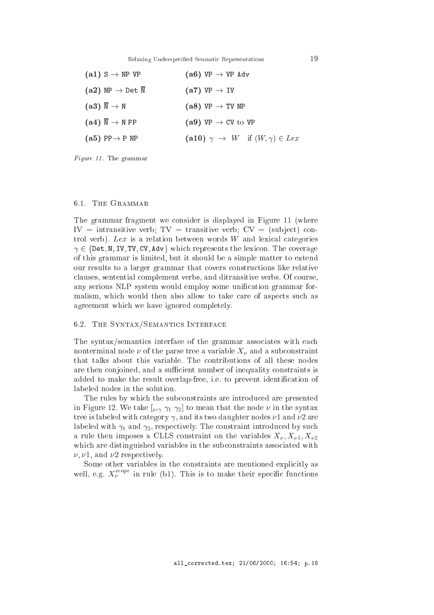Relaxing Underspecified Semantic Representations

| $(a1)$ S $\rightarrow$ NP VP                                 | $(a6) VP \rightarrow VP Adv$                          |
|--------------------------------------------------------------|-------------------------------------------------------|
| $\mathbf{(a2)}$ NP $\rightarrow$ Det $\overline{\mathtt{N}}$ | $(a7) VP \rightarrow IV$                              |
| $(a3) \overline{\mathbb{N}} \to \mathbb{N}$                  | $(a8) VP \rightarrow TV NP$                           |
| $(a4) \overline{N} \rightarrow N PP$                         | (a9) $VP \rightarrow CV$ to $VP$                      |
| $(a5)$ PP $\rightarrow$ P NP                                 | (a10) $\gamma \rightarrow W$ if $(W, \gamma) \in Lex$ |
|                                                              |                                                       |

Figure 11. The grammar

#### 6.1. The Grammar

The grammar fragment we onsider is displayed in Figure 11 (where  $IV =$  intransitive verb;  $TV =$  transitive verb;  $CV =$  (subject) control verb). Lex is a relation between words W and lexical categories  $\gamma \in \{$  Det, N, IV, TV, CV, Adv  $\}$  which represents the lexicon. The coverage of this grammar is limited, but it should be a simple matter to extend our results to a larger grammar that overs onstru
tions like relative lauses, sentential omplement verbs, and ditransitive verbs. Of ourse, any serious NLP system would employ some unification grammar formalism, which would then also allow to take care of aspects such as agreement whi
h we have ignored ompletely.

#### 6.2. THE SYNTAX/SEMANTICS INTERFACE

The syntax/semantics interface of the grammar associates with each nonterminal node of the parse tree and the particle  $\alpha$  and a subset of  $\mu$  and a subset of a subset  $\alpha$ that talks about this variable. The ontributions of all these nodes are then conjoined, and a sufficient number of inequality constraints is added to make the result overlap-free, i.e. to prevent identification of labeled nodes in the solution.

The rules by whi
h the sub
onstraints are introdu
ed are presented in Figure 12. We take  $[\nu, \gamma, \gamma_1, \gamma_2]$  to mean that the node  $\nu$  in the syntax tree is labeled with category  $\gamma$ , and its two daughter nodes  $\nu$ 1 and  $\nu$ 2 are labeled with  $\gamma_1$  and  $\gamma_2$ , respectively. The constraint introduced by such a rule the composes a CLLS composes and variables where  $\cdots$ which are distinguished variables in the subconstraints associated with  $\nu, \nu$ 1, and  $\nu$ 2 respectively.

Some other variables in the constraints are mentioned explicitly as well, e.g.  $X_{\nu}$  <sup>----</sup> in rule (b1). This is to make their specific functions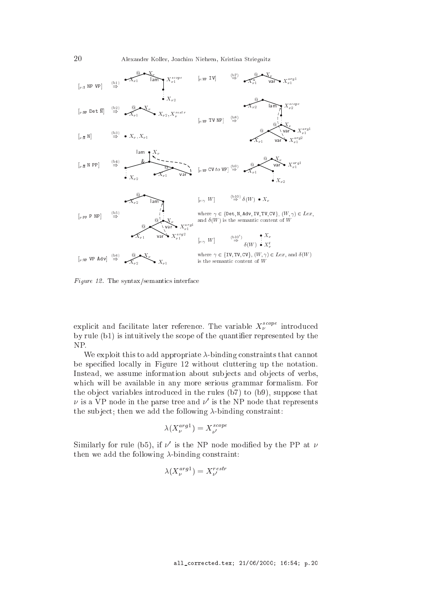20 Alexander Koller, Joa
him Niehren, Kristina Striegnitz



Figure 12. The syntax/semantics interface

explicit and facilitate later reference. The variable  $X_{\nu}$  of antroduced by rule (b1) is intuitively the scope of the quantifier represented by the NP.

We exploit this to add appropriate  $\lambda$ -binding constraints that cannot be specified locally in Figure 12 without cluttering up the notation. Instead, we assume information about subjects and objects of verbs, which will be available in any more serious grammar formalism. For the object variables introduced in the rules (b7) to (b9), suppose that  $\nu$  is a VP node in the parse tree and  $\nu$  is the NP node that represents the subject; then we add the following  $\lambda$ -binding constraint:

$$
\lambda(X_{\nu}^{arg1}) = X_{\nu'}^{scope}
$$

Similarly for rule (b5), if  $\nu$  is the NP node modified by the PP at  $\nu$ then we add the following  $\lambda$ -binding constraint:

$$
\lambda(X_{\nu}^{arg1})=X_{\nu'}^{restr}
$$

. .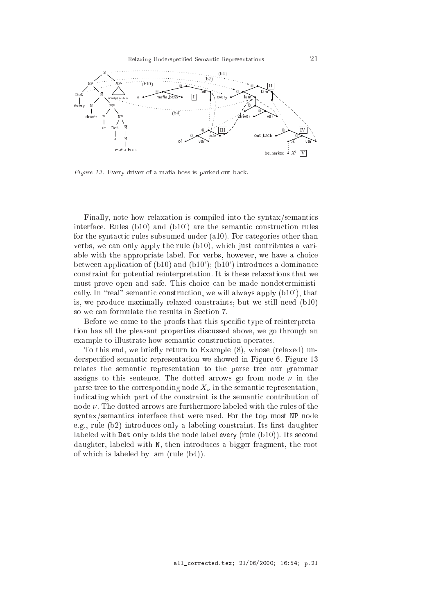

Figure 13. Every driver of a mafia boss is parked out back.

Finally, note how relaxation is compiled into the syntax/semantics interface. Rules  $(b10)$  and  $(b10)$  are the semantic construction rules for the syntactic rules subsumed under (a10). For categories other than verbs, we can only apply the rule (b10), which just contributes a variable with the appropriate label. For verbs, however, we have a choice between application of  $(b10)$  and  $(b10')$ ;  $(b10')$  introduces a dominance onstraint for potential reinterpretation. It is these relaxations that we must prove open and safe. This choice can be made nondeterministically. In "real" semantic construction, we will always apply  $(b10')$ , that is, we produ
e maximally relaxed onstraints; but we still need (b10) so we can formulate the results in Section 7.

Before we come to the proofs that this specific type of reinterpretation has all the pleasant properties dis
ussed above, we go through an example to illustrate how semantic construction operates.

To this end, we briefly return to Example (8), whose (relaxed) underspecified semantic representation we showed in Figure 6. Figure 13 relates the semanti representation to the parse tree our grammar assigns to this sentence. The dotted arrows go from node  $\nu$  in the parse trees to the trees in the semantic node  $\alpha$  in the semantic semantic semantic semantic semantic  $\alpha$ indicating which part of the constraint is the semantic contribution of node  $\nu$ . The dotted arrows are furthermore labeled with the rules of the syntax/semanti
s interfa
e that were used. For the top most NP node e.g., rule  $(b2)$  introduces only a labeling constraint. Its first daughter labeled with Det only adds the node label every (rule (b10)). Its second daughter, labeled with  $\overline{N}$ , then introduces a bigger fragment, the root of whi
h is labeled by lam (rule (b4)).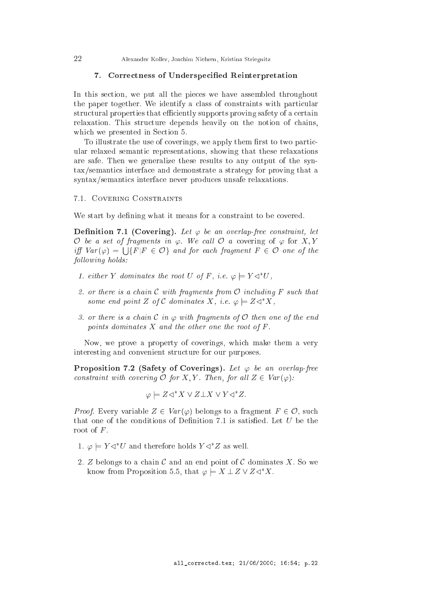## 7. Correctness of Underspecified Reinterpretation

In this section, we put all the pieces we have assembled throughout the paper together. We identify a class of constraints with particular structural properties that efficiently supports proving safety of a certain relaxation. This structure depends heavily on the notion of chains, which we presented in Section 5.

To illustrate the use of coverings, we apply them first to two particular relaxed semanti representations, showing that these relaxations are safe. Then we generalize these results to any output of the syntax/semanti
s interfa
e and demonstrate a strategy for proving that a syntax/semanti
s interfa
e never produ
es unsafe relaxations.

## 7.1. Covering Constraints

We start by defining what it means for a constraint to be covered.

**Definition 7.1 (Covering).** Let  $\varphi$  be an overlap-free constraint, let  $\cup$  be a set of fragments in  $\varphi$ . We call  $\cup$  a covering of  $\varphi$  for  $X, Y$ iff  $Var(\varphi) = \bigcup$ fF jF <sup>2</sup> Og and for ea
h fragment <sup>F</sup> <sup>2</sup> <sup>O</sup> one of the following holds:

- 1. either Y dominates the root U of F, i.e.  $\varphi \models Y \triangleleft \forall V$ ,
- 2. or there is a chain  $\mathcal C$  with fragments from  $\mathcal O$  including  $F$  such that some end point Z of C dominates X, i.e.  $\varphi \models Z \triangleleft^* X$ ,
- 3. or there is a chain C in  $\varphi$  with fragments of O then one of the end points dominates  $X$  and the other one the root of  $F$ .

Now, we prove a property of overings, whi
h make them a very interesting and onvenient stru
ture for our purposes.

**Proposition 7.2 (Safety of Coverings).** Let  $\varphi$  be an overlap-free constraint with covering  $\mathcal O$  for X, Y. Then, for all  $Z \in Var(\varphi)$ :

 $\varphi \models \text{Z} \triangleleft \begin{array}{c} X \end{array} \vee \text{Z} \bot X \end{array} \vee Y \triangleleft \begin{array}{c} Z. \end{array}$ 

*Proof.* Every variable  $Z \in Var(\varphi)$  belongs to a fragment  $F \in \mathcal{O}$ , such that one of the conditions of Definition 7.1 is satisfied. Let  $U$  be the root of  $F$ .

- 1.  $\varphi \models Y \triangleleft U$  and therefore holds  $Y \triangleleft Z$  as well.
- 2. Z belongs to a chain  $\mathcal C$  and an end point of  $\mathcal C$  dominates X. So we know from Proposition 5.5, that  $\varphi \models X \perp Z \vee Z \triangleleft^* X$ .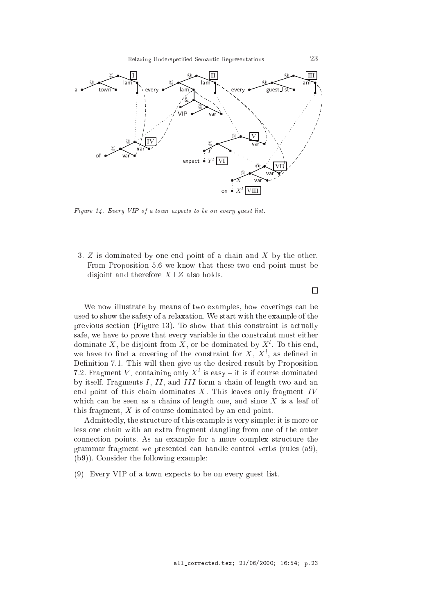

Figure 14. Every VIP of a town expects to be on every guest list.

3. Z is dominated by one end point of a chain and X by the other. From Proposition 5.6 we know that these two end point must be disjoint and therefore  $X \perp Z$  also holds.

We now illustrate by means of two examples, how coverings can be used to show the safety of a relaxation. We start with the example of the previous se
tion (Figure 13). To show that this onstraint is a
tually safe, we have to prove that every variable in the onstraint must either dominate  $\Lambda$ , be disjoint from  $\Lambda$ , or be dominated by  $\Lambda$  . To this end, we have to find a covering of the constraint for  $A$ ,  $A$ , as defined in Definition 7.1. This will then give us the desired result by Proposition  $\tau$ . *Tragment V*, containing only  $\Lambda$  is easy  $=$  it is if course dominated by itself. Fragments  $I, II$ , and  $III$  form a chain of length two and an end point of this chain dominates  $X$ . This leaves only fragment  $IV$ which can be seen as a chains of length one, and since  $X$  is a leaf of this fragment,  $X$  is of course dominated by an end point.

Admittedly, the structure of this example is very simple: it is more or less one hain with an extra fragment dangling from one of the outer connection points. As an example for a more complex structure the grammar fragment we presented an handle ontrol verbs (rules (a9), (b9)). Consider the following example:

(9) Every VIP of a town expects to be on every guest list.

#### $\Box$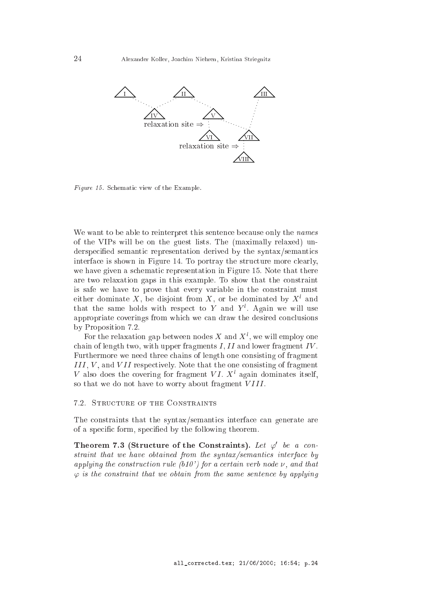

Figure 15. Schematic view of the Example.

We want to be able to reinterpret this sentence because only the *names* of the VIPs will be on the guest lists. The (maximally relaxed) underspecified semantic representation derived by the syntax/semantics interface is shown in Figure 14. To portray the structure more clearly, we have given a schematic representation in Figure 15. Note that there are two relaxation gaps in this example. To show that the onstraint is safe we have to prove that every variable in the onstraint must either dominate  $\Lambda$ , be disjoint from  $\Lambda$ , or be dominated by  $\Lambda^+$  and that the same holds with respect to  $Y$  and  $Y$  . Again we will use appropriate coverings from which we can draw the desired conclusions by Proposition 7.2.

For the relaxation gap between houes  $\Lambda$  and  $\Lambda$  , we will employ one chain of length two, with upper fragments  $I, II$  and lower fragment  $IV$ . Furthermore we need three chains of length one consisting of fragment i i i <sup>i</sup> i i i i and versisting of the one in the one in the one in the one of the one of the one one one one o  $V$  also does the covering for fragment  $VI$ . A again dominates itself, so that we do not have to worry about fragment VIII.

## 7.2. STRUCTURE OF THE CONSTRAINTS

The constraints that the syntax/semantics interface can generate are of a specific form, specified by the following theorem.

Theorem 7.3 (Structure of the Constraints). Let  $\varphi$  be a constraint that we have obtained from the syntax/semantics interface by applying the construction rule (b10') for a certain verb node  $\nu$ , and that  $\varphi$  is the constraint that we obtain from the same sentence by applying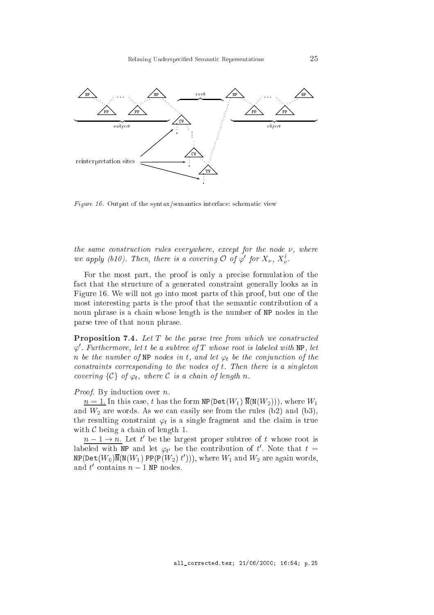

Figure 16. Output of the syntax/semantics interface: schematic view

the same construction rules everywhere, except for the node  $\nu$ , where we apply (b10). Then, there is a covering  $\bigcirc$  of  $\varphi$  for  $X_{\nu}$ ,  $X_{\nu}^{\ast}$ .

For the most part, the proof is only a precise formulation of the fa
t that the stru
ture of a generated onstraint generally looks as in Figure 16. We will not go into most parts of this proof, but one of the most interesting parts is the proof that the semantic contribution of a noun phrase is a chain whose length is the number of NP nodes in the parse tree of that noun phrase.

**Proposition 7.4.** Let  $T$  be the parse tree from which we constructed  $\varphi'$ . Furthermore, let t be a subtree of  $T$  whose root is labeled with NP, let n be the number of NP nodes in t, and let  $\varphi_t$  be the conjunction of the onstraints orresponding to the nodes of t. Then there is a singleton covering  $\{C\}$  of  $\varphi_t$ , where C is a chain of length n.

Proof. By induction over n.

 $n=1$ . In this case, t has the form  $NP(\text{Det}(W_1) N(N(W_2)))$ , where  $W_1$ and  $W_2$  are words. As we can easily see from the rules (b2) and (b3), the resulting constraint  $\varphi_t$  is a single fragment and the claim is true with  $\mathcal C$  being a chain of length 1.

 $n - 1 \rightarrow n$ . Let the largest proper subtree of twhose root is labeled with NP and let  $\varphi_{t'}$  be the contribution of t'. Note that  $t =$  $NP(Det(W_0)N(N(W_1) PP(P(W_2) t')))$ , where  $W_1$  and  $W_2$  are again words, and t' contains  $n-1$  NP nodes.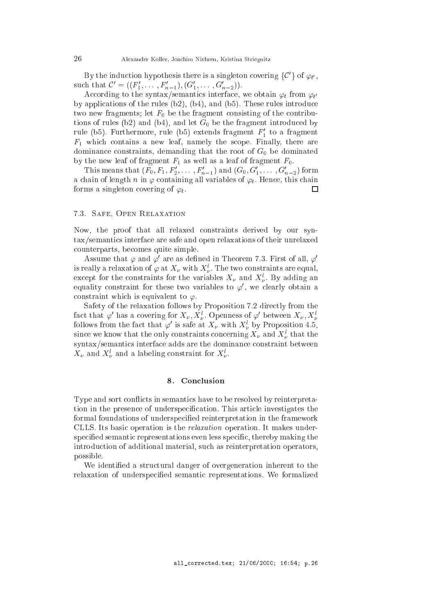By the induction hypothesis there is a singleton covering  $\{C^\prime\}$  of  $\varphi_{t'},$ such that  $C = ( (r_1, \ldots, r_{n-1}), (G_1, \ldots, G_{n-2}))$ .

According to the syntax/semantics interface, we obtain  $\varphi_t$  from  $\varphi_{t'}$ by applications of the rules  $(b2)$ ,  $(b4)$ , and  $(b5)$ . These rules introduce two new fragments; let  $F_0$  be the fragment consisting of the contributions of rules (b2) and (b4), and let  $G_0$  be the fragment introduced by rule (b5). Furthermore, rule (b5) extends fragment  $F_1$  to a fragment  $F_1$  which contains a new leaf, namely the scope. Finally, there are dominance constraints, demanding that the root of  $G_0$  be dominated by the new leaf of fragment  $F_1$  as well as a leaf of fragment  $F_0$ .

I ms means that  $(r_0, r_1, r_2, \ldots, r_{n-1})$  and  $(G_0, G_1, \ldots, G_{n-2})$  form a chain of length n in  $\varphi$  containing all variables of  $\varphi_t$ . Hence, this chain forms a singleton covering of  $\varphi_t$ .  $\Box$ 

## 7.3. Safe, Open Relaxation

Now, the proof that all relaxed onstraints derived by our syntax/semanti
s interfa
e are safe and open relaxations of their unrelaxed ounterparts, be
omes quite simple.

Assume that  $\varphi$  and  $\varphi'$  are as defined in Theorem 7.3. First of all,  $\varphi$ is really a relaxation of  $\varphi$  at  $X_{\nu}$  with  $X_{\nu}^{\ast}$ . The two constraints are equal, except for the constraints for the variables  $A_{\nu}$  and  $A_{\nu}$ . By adding an equality constraint for these two variables to  $\varphi$  , we clearly obtain a constraint which is equivalent to  $\varphi$ .

Safety of the relaxation follows by Proposition 7.2 directly from the fact that  $\varphi$  has a covering for  $\Lambda_{\nu}, \Lambda_{\nu}^{\ast}$ . Openness of  $\varphi$  between  $\Lambda_{\nu}, \Lambda_{\nu}^{\ast}$ follows from the fact that  $\varphi'$  is safe at  $X_{\nu}$  with  $X_{\nu}^{l}$  by Proposition 4.5, . . since we know that the only constraints concerning  $A_{\nu}$  and  $A_{\nu}^+$  that the syntax/semantics interface adds are the dominance constraint between  $\Lambda_{\nu}$  and  $\Lambda_{\nu}$  and a labeling constraint for  $\Lambda_{\nu}$ .

## 8. Conclusion

Type and sort conflicts in semantics have to be resolved by reinterpretation in the presence of underspecification. This article investigates the formal foundations of underspecified reinterpretation in the framework CLLS. Its basi operation is the relaxation operation. It makes underspecified semantic representations even less specific, thereby making the introdu
tion of additional material, su
h as reinterpretation operators, possible.

We identified a structural danger of overgeneration inherent to the relaxation of underspecified semantic representations. We formalized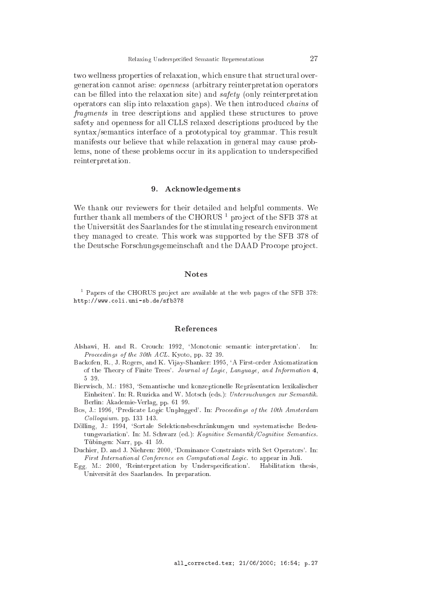two wellness properties of relaxation, which ensure that structural overgeneration annot arise: openness (arbitrary reinterpretation operators can be filled into the relaxation site) and  $safety$  (only reinterpretation operators an slip into relaxation gaps). We then introdu
ed hains of fragments in tree descriptions and applied these structures to prove safety and openness for all CLLS relaxed descriptions produced by the syntax/semantics interface of a prototypical toy grammar. This result manifests our believe that while relaxation in general may cause problems, none of these problems occur in its application to underspecified reinterpretation.

#### 9. Acknowledgements

We thank our reviewers for their detailed and helpful omments. We  $\frac{1}{2}$  further thank all members of the CHORUS  $\frac{1}{2}$  project of the SFB 378 at the Universitat des Saarlandes for the stimulating resear
h environment they managed to create. This work was supported by the SFB 378 of the Deutsche Forschungsgemeinschaft and the DAAD Procope project.

#### **Notes**

Papers of the CHORUS project are available at the web pages of the SFB 378: http://www.
oli.uni-sb.de/sfb378

- Alshawi, H. and R. Crouch: 1992, 'Monotonic semantic interpretation'. In: Proceedings of the  $30th$  ACL. Kyoto, pp. 32-39.
- Ba
kofen, R., J. Rogers, and K. Vijay-Shanker: 1995, `A First-order Axiomatization of the Theory of Finite Trees'. Journal of Logi
, Language, and Information 4,
- Bierwisch, M.: 1983, 'Semantische und konzeptionelle Repräsentation lexikalischer Einheiten'. In: R. Ruzicka and W. Motsch (eds.): Untersuchungen zur Semantik. Berlin: Akademie-Verlag, pp. 61-99.
- Bos, J.: 1996, 'Predicate Logic Unplugged'. In: Proceedings of the 10th Amsterdam  $Colloquium.$  pp. 133-143.
- Dölling, J.: 1994, 'Sortale Selektionsbeschränkungen und systematische Bedeutungsvariation'. In: M. Schwarz (ed.): Kognitive Semantik/Cognitive Semantics. Tübingen: Narr, pp. 41-59.
- Duchier, D. and J. Niehren: 2000, 'Dominance Constraints with Set Operators'. In: First International Conferen
e on Computational Logi
. to appear in Juli.
- Egg, M.: 2000, 'Reinterpretation by Underspecification'. Habilitation thesis, Universitat des Saarlandes. In preparation.